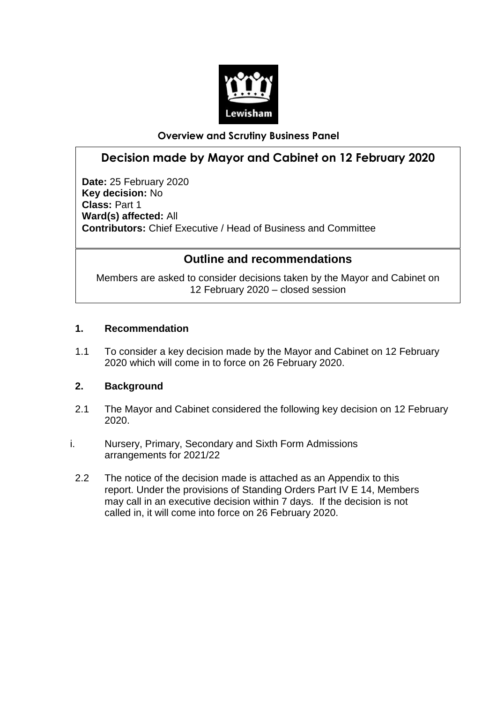

### **Overview and Scrutiny Business Panel**

# **Decision made by Mayor and Cabinet on 12 February 2020**

**Date:** 25 February 2020 **Key decision:** No **Class:** Part 1 **Ward(s) affected:** All **Contributors:** Chief Executive / Head of Business and Committee

## **Outline and recommendations**

Members are asked to consider decisions taken by the Mayor and Cabinet on 12 February 2020 – closed session

#### **1. Recommendation**

1.1 To consider a key decision made by the Mayor and Cabinet on 12 February 2020 which will come in to force on 26 February 2020.

## **2. Background**

- 2.1 The Mayor and Cabinet considered the following key decision on 12 February 2020.
- i. Nursery, Primary, Secondary and Sixth Form Admissions arrangements for 2021/22
	- 2.2 The notice of the decision made is attached as an Appendix to this report. Under the provisions of Standing Orders Part IV E 14, Members may call in an executive decision within 7 days. If the decision is not called in, it will come into force on 26 February 2020.